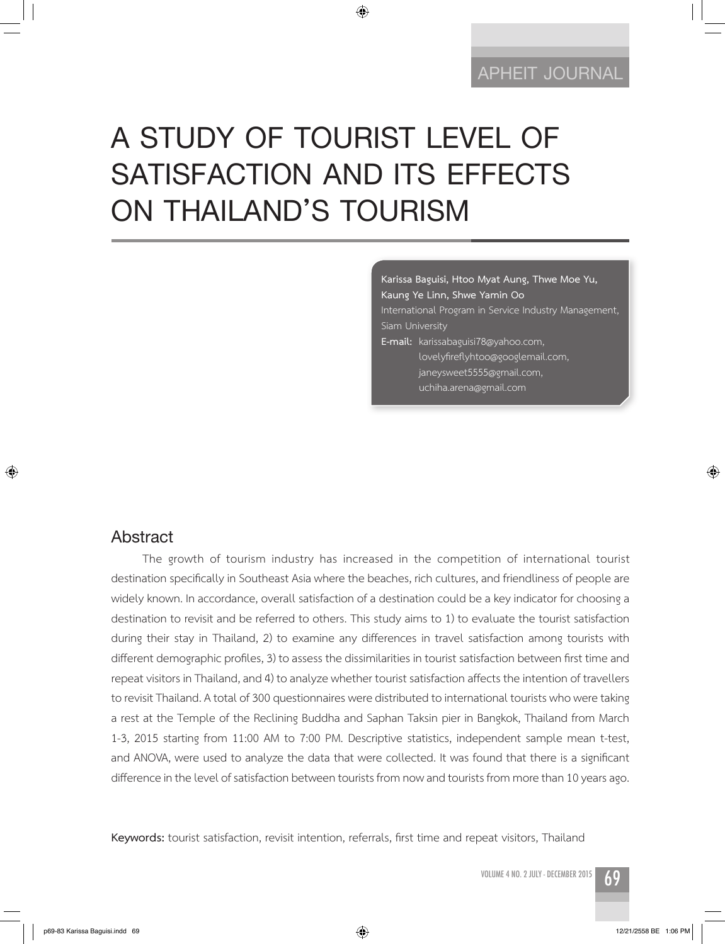## **APHEIT JOURNAL APHEIT JOURNAL**

# **A STUDY OF TOURIST LEVEL OF SATISFACTION AND ITS EFFECTS ON THAILAND'S TOURISM**

◈

**Karissa Baguisi, Htoo Myat Aung, Thwe Moe Yu, Kaung Ye Linn, Shwe Yamin Oo** International Program in Service Industry Management, Siam University

**E-mail:** karissabaguisi78@yahoo.com,

 lovelyfireflyhtoo@googlemail.com, janeysweet5555@gmail.com, uchiha.arena@gmail.com

### **Abstract**

⊕

The growth of tourism industry has increased in the competition of international tourist destination specifically in Southeast Asia where the beaches, rich cultures, and friendliness of people are widely known. In accordance, overall satisfaction of a destination could be a key indicator for choosing a destination to revisit and be referred to others. This study aims to 1) to evaluate the tourist satisfaction during their stay in Thailand, 2) to examine any differences in travel satisfaction among tourists with different demographic profiles, 3) to assess the dissimilarities in tourist satisfaction between first time and repeat visitors in Thailand, and 4) to analyze whether tourist satisfaction affects the intention of travellers to revisit Thailand. A total of 300 questionnaires were distributed to international tourists who were taking a rest at the Temple of the Reclining Buddha and Saphan Taksin pier in Bangkok, Thailand from March 1-3, 2015 starting from 11:00 AM to 7:00 PM. Descriptive statistics, independent sample mean t-test, and ANOVA, were used to analyze the data that were collected. It was found that there is a significant difference in the level of satisfaction between tourists from now and tourists from more than 10 years ago.

**Keywords:** tourist satisfaction, revisit intention, referrals, first time and repeat visitors, Thailand

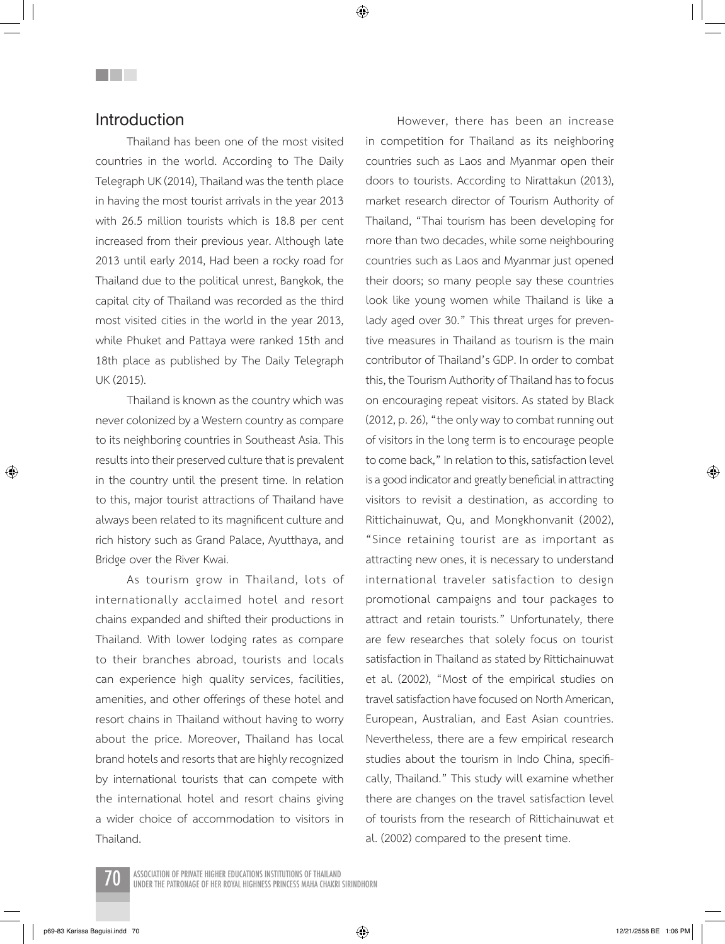### **Introduction**

<u>Filmen</u>

Thailand has been one of the most visited countries in the world. According to The Daily Telegraph UK (2014), Thailand was the tenth place in having the most tourist arrivals in the year 2013 with 26.5 million tourists which is 18.8 per cent increased from their previous year. Although late 2013 until early 2014, Had been a rocky road for Thailand due to the political unrest, Bangkok, the capital city of Thailand was recorded as the third most visited cities in the world in the year 2013, while Phuket and Pattaya were ranked 15th and 18th place as published by The Daily Telegraph UK (2015).

Thailand is known as the country which was never colonized by a Western country as compare to its neighboring countries in Southeast Asia. This results into their preserved culture that is prevalent in the country until the present time. In relation to this, major tourist attractions of Thailand have always been related to its magnificent culture and rich history such as Grand Palace, Ayutthaya, and Bridge over the River Kwai.

As tourism grow in Thailand, lots of internationally acclaimed hotel and resort chains expanded and shifted their productions in Thailand. With lower lodging rates as compare to their branches abroad, tourists and locals can experience high quality services, facilities, amenities, and other offerings of these hotel and resort chains in Thailand without having to worry about the price. Moreover, Thailand has local brand hotels and resorts that are highly recognized by international tourists that can compete with the international hotel and resort chains giving a wider choice of accommodation to visitors in Thailand.

However, there has been an increase in competition for Thailand as its neighboring countries such as Laos and Myanmar open their doors to tourists. According to Nirattakun (2013), market research director of Tourism Authority of Thailand, "Thai tourism has been developing for more than two decades, while some neighbouring countries such as Laos and Myanmar just opened their doors; so many people say these countries look like young women while Thailand is like a lady aged over 30." This threat urges for preventive measures in Thailand as tourism is the main contributor of Thailand's GDP. In order to combat this, the Tourism Authority of Thailand has to focus on encouraging repeat visitors. As stated by Black (2012, p. 26), "the only way to combat running out of visitors in the long term is to encourage people to come back," In relation to this, satisfaction level is a good indicator and greatly beneficial in attracting visitors to revisit a destination, as according to Rittichainuwat, Qu, and Mongkhonvanit (2002), "Since retaining tourist are as important as attracting new ones, it is necessary to understand international traveler satisfaction to design promotional campaigns and tour packages to attract and retain tourists." Unfortunately, there are few researches that solely focus on tourist satisfaction in Thailand as stated by Rittichainuwat et al. (2002), "Most of the empirical studies on travel satisfaction have focused on North American, European, Australian, and East Asian countries. Nevertheless, there are a few empirical research studies about the tourism in Indo China, specifically, Thailand." This study will examine whether there are changes on the travel satisfaction level of tourists from the research of Rittichainuwat et al. (2002) compared to the present time.



ASSOCIATION OF PRIVATE HIGHER EDUCATIONS INSTITUTIONS OF THAILAND<br>UNDER THE PATRONAGE OF HER ROYAL HIGHNESS PRINCESS MAHA CHAKRI SIRINDHORN

⊕

p69-83 Karissa Baguisi.indd 70 12/21/2558 BE 1:06 PM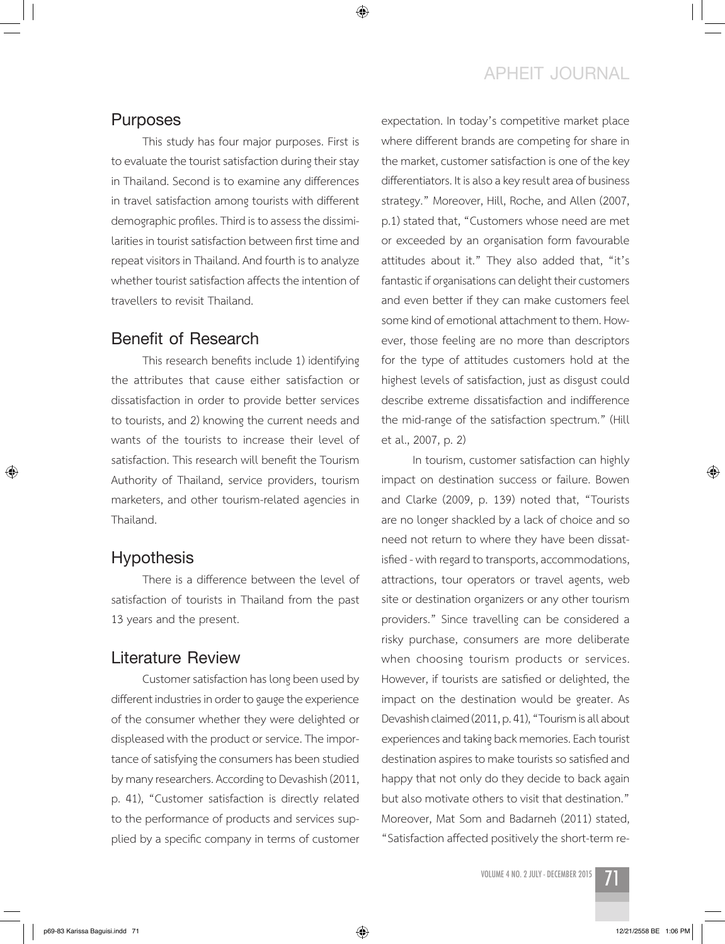### **APHEIT JOURNAL**

#### **Purposes**

This study has four major purposes. First is to evaluate the tourist satisfaction during their stay in Thailand. Second is to examine any differences in travel satisfaction among tourists with different demographic profiles. Third is to assess the dissimilarities in tourist satisfaction between first time and repeat visitors in Thailand. And fourth is to analyze whether tourist satisfaction affects the intention of travellers to revisit Thailand.

### **Benefit of Research**

This research benefits include 1) identifying the attributes that cause either satisfaction or dissatisfaction in order to provide better services to tourists, and 2) knowing the current needs and wants of the tourists to increase their level of satisfaction. This research will benefit the Tourism Authority of Thailand, service providers, tourism marketers, and other tourism-related agencies in Thailand.

#### **Hypothesis**

⊕

There is a difference between the level of satisfaction of tourists in Thailand from the past 13 years and the present.

### **Literature Review**

Customer satisfaction has long been used by different industries in order to gauge the experience of the consumer whether they were delighted or displeased with the product or service. The importance of satisfying the consumers has been studied by many researchers. According to Devashish (2011, p. 41), "Customer satisfaction is directly related to the performance of products and services supplied by a specific company in terms of customer

expectation. In today's competitive market place where different brands are competing for share in the market, customer satisfaction is one of the key differentiators. It is also a key result area of business strategy." Moreover, Hill, Roche, and Allen (2007, p.1) stated that, "Customers whose need are met or exceeded by an organisation form favourable attitudes about it." They also added that, "it's fantastic if organisations can delight their customers and even better if they can make customers feel some kind of emotional attachment to them. However, those feeling are no more than descriptors for the type of attitudes customers hold at the highest levels of satisfaction, just as disgust could describe extreme dissatisfaction and indifference the mid-range of the satisfaction spectrum." (Hill et al., 2007, p. 2)

In tourism, customer satisfaction can highly impact on destination success or failure. Bowen and Clarke (2009, p. 139) noted that, "Tourists are no longer shackled by a lack of choice and so need not return to where they have been dissatisfied - with regard to transports, accommodations, attractions, tour operators or travel agents, web site or destination organizers or any other tourism providers." Since travelling can be considered a risky purchase, consumers are more deliberate when choosing tourism products or services. However, if tourists are satisfied or delighted, the impact on the destination would be greater. As Devashish claimed (2011, p. 41), "Tourism is all about experiences and taking back memories. Each tourist destination aspires to make tourists so satisfied and happy that not only do they decide to back again but also motivate others to visit that destination." Moreover, Mat Som and Badarneh (2011) stated, "Satisfaction affected positively the short-term re-

VOLUME 4 NO. 2 JULY - DECEMBER 2015

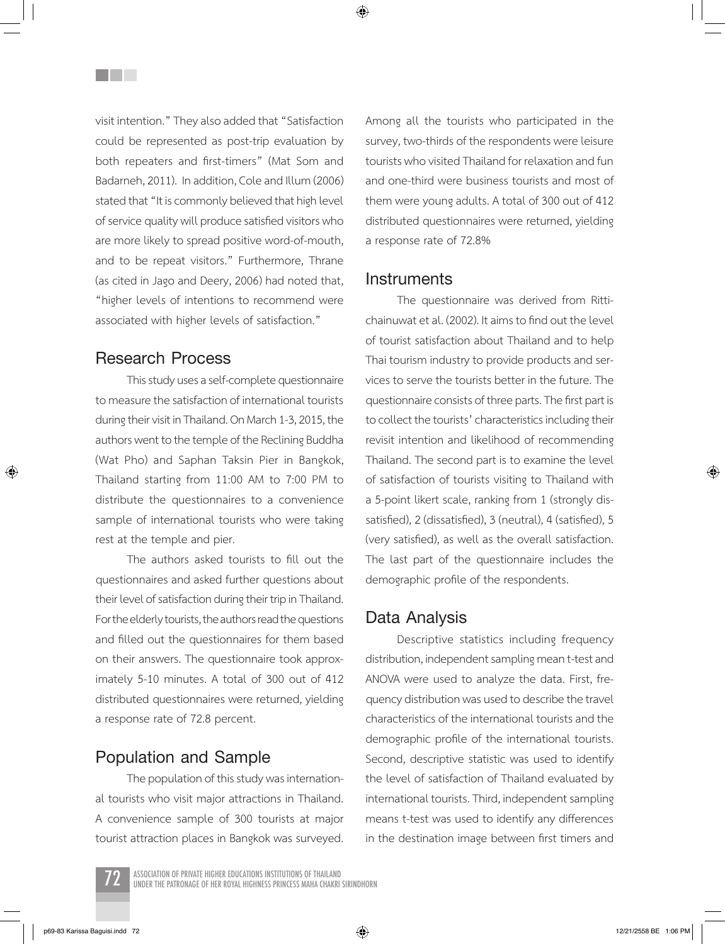visit intention." They also added that "Satisfaction could be represented as post-trip evaluation by both repeaters and first-timers" (Mat Som and Badarneh, 2011). In addition, Cole and Illum (2006) stated that "It is commonly believed that high level of service quality will produce satisfied visitors who are more likely to spread positive word-of-mouth, and to be repeat visitors." Furthermore, Thrane (as cited in Jago and Deery, 2006) had noted that, "higher levels of intentions to recommend were associated with higher levels of satisfaction."

### **Research Process**

**THE SEA** 

This study uses a self-complete questionnaire to measure the satisfaction of international tourists during their visit in Thailand. On March 1-3, 2015, the authors went to the temple of the Reclining Buddha (Wat Pho) and Saphan Taksin Pier in Bangkok, Thailand starting from 11:00 AM to 7:00 PM to distribute the questionnaires to a convenience sample of international tourists who were taking rest at the temple and pier.

The authors asked tourists to fill out the questionnaires and asked further questions about their level of satisfaction during their trip in Thailand. For the elderly tourists, the authors read the questions and filled out the questionnaires for them based on their answers. The questionnaire took approximately 5-10 minutes. A total of 300 out of 412 distributed questionnaires were returned, yielding a response rate of 72.8 percent.

### **Population and Sample**

The population of this study was international tourists who visit major attractions in Thailand. A convenience sample of 300 tourists at major tourist attraction places in Bangkok was surveyed. Among all the tourists who participated in the survey, two-thirds of the respondents were leisure tourists who visited Thailand for relaxation and fun and one-third were business tourists and most of them were young adults. A total of 300 out of 412 distributed questionnaires were returned, yielding a response rate of 72.8%

#### **Instruments**

The questionnaire was derived from Rittichainuwat et al. (2002). It aims to find out the level of tourist satisfaction about Thailand and to help Thai tourism industry to provide products and services to serve the tourists better in the future. The questionnaire consists of three parts. The first part is to collect the tourists' characteristics including their revisit intention and likelihood of recommending Thailand. The second part is to examine the level of satisfaction of tourists visiting to Thailand with a 5-point likert scale, ranking from 1 (strongly dissatisfied), 2 (dissatisfied), 3 (neutral), 4 (satisfied), 5 (very satisfied), as well as the overall satisfaction. The last part of the questionnaire includes the demographic profile of the respondents.

### **Data Analysis**

Descriptive statistics including frequency distribution, independent sampling mean t-test and ANOVA were used to analyze the data. First, frequency distribution was used to describe the travel characteristics of the international tourists and the demographic profile of the international tourists. Second, descriptive statistic was used to identify the level of satisfaction of Thailand evaluated by international tourists. Third, independent sampling means t-test was used to identify any differences in the destination image between first timers and



ASSOCIATION OF PRIVATE HIGHER EDUCATIONS INSTITUTIONS OF THAILAND<br>UNDER THE PATRONAGE OF HER ROYAL HIGHNESS PRINCESS MAHA CHAKRI SIRINDHORN

⊕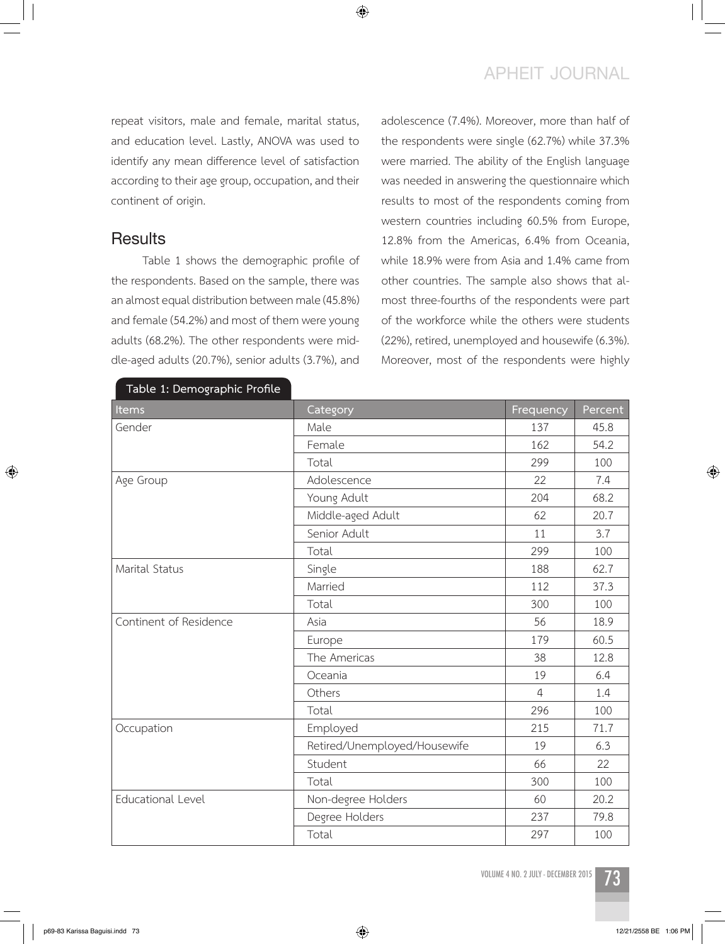### **APHEIT JOURNAL**

repeat visitors, male and female, marital status, and education level. Lastly, ANOVA was used to identify any mean difference level of satisfaction according to their age group, occupation, and their continent of origin.

### **Results**

Table 1 shows the demographic profile of the respondents. Based on the sample, there was an almost equal distribution between male (45.8%) and female (54.2%) and most of them were young adults (68.2%). The other respondents were middle-aged adults (20.7%), senior adults (3.7%), and

**Table 1: Demographic Profile**

adolescence (7.4%). Moreover, more than half of the respondents were single (62.7%) while 37.3% were married. The ability of the English language was needed in answering the questionnaire which results to most of the respondents coming from western countries including 60.5% from Europe, 12.8% from the Americas, 6.4% from Oceania, while 18.9% were from Asia and 1.4% came from other countries. The sample also shows that almost three-fourths of the respondents were part of the workforce while the others were students (22%), retired, unemployed and housewife (6.3%). Moreover, most of the respondents were highly

| Items                    | Category                     | Frequency      | Percent |
|--------------------------|------------------------------|----------------|---------|
| Gender                   | Male                         | 137            | 45.8    |
|                          | Female                       | 162            | 54.2    |
|                          | Total                        | 299            | 100     |
| Age Group                | Adolescence                  | 22             | 7.4     |
|                          | Young Adult                  | 204            | 68.2    |
|                          | Middle-aged Adult            | 62             | 20.7    |
|                          | Senior Adult                 | 11             | 3.7     |
|                          | Total                        | 299            | 100     |
| Marital Status           | Single                       | 188            | 62.7    |
|                          | Married                      | 112            | 37.3    |
|                          | Total                        | 300            | 100     |
| Continent of Residence   | Asia                         | 56             | 18.9    |
|                          | Europe                       | 179            | 60.5    |
|                          | The Americas                 | 38             | 12.8    |
|                          | Oceania                      | 19             | 6.4     |
|                          | Others                       | $\overline{4}$ | 1.4     |
|                          | Total                        | 296            | 100     |
| Occupation               | Employed                     | 215            | 71.7    |
|                          | Retired/Unemployed/Housewife | 19             | 6.3     |
|                          | Student                      | 66             | 22      |
|                          | Total                        | 300            | 100     |
| <b>Educational Level</b> | Non-degree Holders           | 60             | 20.2    |
|                          | Degree Holders               | 237            | 79.8    |
|                          | Total                        | 297            | 100     |

VOLUME 4 NO. 2 JULY - DECEMBER 2015



 $\bigcirc$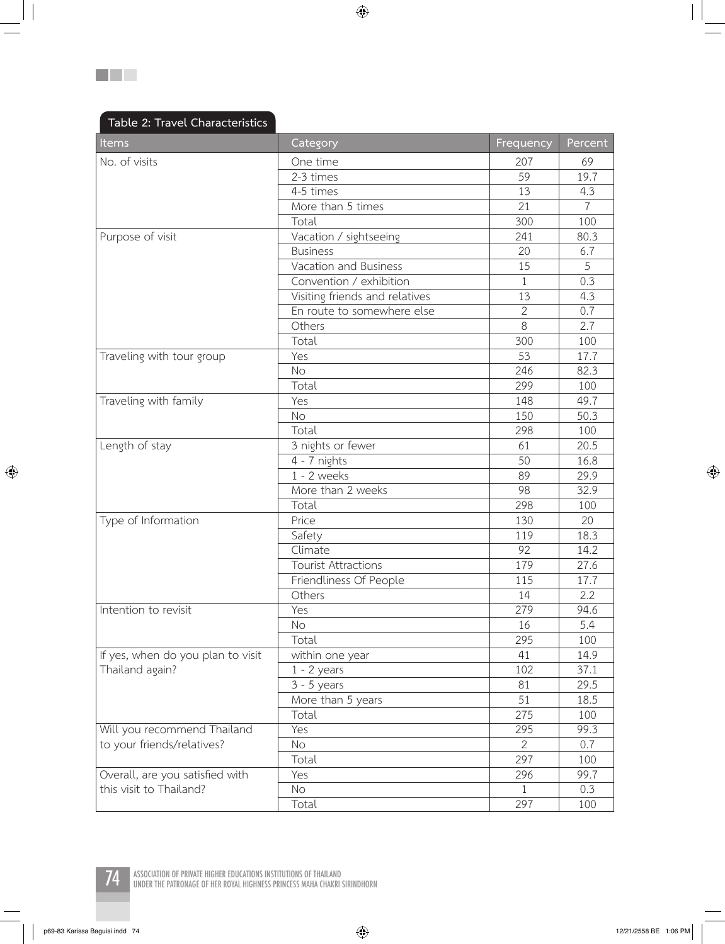$\bigoplus$ 

| Items                             | Category                       | Frequency       | Percent        |
|-----------------------------------|--------------------------------|-----------------|----------------|
| No. of visits                     | One time                       | 207             | 69             |
|                                   | 2-3 times                      | 59              | 19.7           |
|                                   | 4-5 times                      | 13              | 4.3            |
|                                   | More than 5 times              | 21              | $\overline{7}$ |
|                                   | Total                          | 300             | 100            |
| Purpose of visit                  | Vacation / sightseeing         | 241             | 80.3           |
|                                   | <b>Business</b>                | 20              | 6.7            |
|                                   | Vacation and Business          | 15              | 5              |
|                                   | Convention / exhibition        | 1               | 0.3            |
|                                   | Visiting friends and relatives | 13              | 4.3            |
|                                   | En route to somewhere else     | $\overline{2}$  | 0.7            |
|                                   | Others                         | 8               | 2.7            |
|                                   | Total                          | 300             | 100            |
| Traveling with tour group         | Yes                            | 53              | 17.7           |
|                                   | <b>No</b>                      | 246             | 82.3           |
|                                   | Total                          | 299             | 100            |
| Traveling with family             | Yes                            | 148             | 49.7           |
|                                   | <b>No</b>                      | 150             | 50.3           |
|                                   | Total                          | 298             | 100            |
| Length of stay                    | 3 nights or fewer              | 61              | 20.5           |
|                                   | 4 - 7 nights                   | 50              | 16.8           |
|                                   | $1 - 2$ weeks                  | 89              | 29.9           |
|                                   | More than 2 weeks              | 98              | 32.9           |
|                                   | Total                          | 298             | 100            |
| Type of Information               | Price                          | 130             | 20             |
|                                   | Safety                         | 119             | 18.3           |
|                                   | Climate                        | $\overline{92}$ | 14.2           |
|                                   | <b>Tourist Attractions</b>     | 179             | 27.6           |
|                                   | Friendliness Of People         | 115             | 17.7           |
|                                   | Others                         | 14              | 2.2            |
| Intention to revisit              | Yes                            | 279             | 94.6           |
|                                   | $\rm No$                       | 16              | 5.4            |
|                                   | Total                          | 295             | 100            |
| If yes, when do you plan to visit | within one year                | 41              | 14.9           |
| Thailand again?                   | $1 - 2$ years                  | 102             | 37.1           |
|                                   | $3 - 5$ years                  | 81              | 29.5           |
|                                   | More than 5 years              | 51              | 18.5           |
|                                   | Total                          | 275             | 100            |
| Will you recommend Thailand       | Yes                            | 295             | 99.3           |
| to your friends/relatives?        | No                             | $\overline{2}$  | 0.7            |
|                                   | Total                          | 297             | 100            |
| Overall, are you satisfied with   | Yes                            | 296             | 99.7           |
| this visit to Thailand?           | No                             | 1               | 0.3            |
|                                   | Total                          | 297             | 100            |



**The Co** 



74 **Association of Private Higher Educations Institutions of Thailand Under The Patronage of Her Royal Highness Princess Maha Chakri Sirindhorn** 

p69-83 Karissa Baguisi.indd 74 12/21/2558 BE 1:06 PM

 $\bigoplus$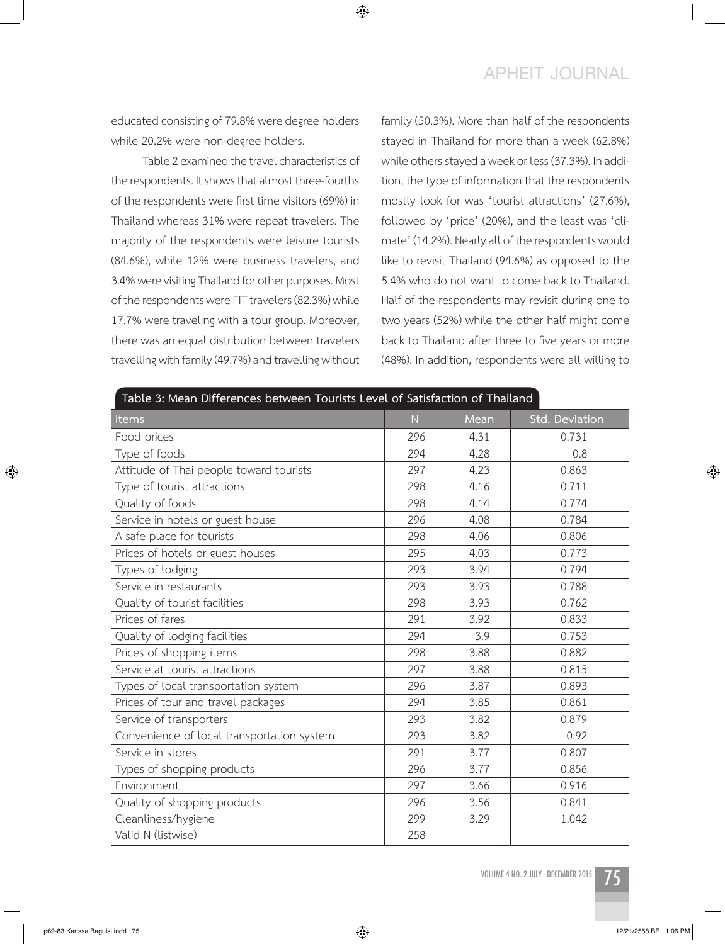### **APHEIT JOURNAL**

educated consisting of 79.8% were degree holders while 20.2% were non-degree holders.

Table 2 examined the travel characteristics of the respondents. It shows that almost three-fourths of the respondents were first time visitors (69%) in Thailand whereas 31% were repeat travelers. The majority of the respondents were leisure tourists (84.6%), while 12% were business travelers, and 3.4% were visiting Thailand for other purposes. Most of the respondents were FIT travelers (82.3%) while 17.7% were traveling with a tour group. Moreover, there was an equal distribution between travelers travelling with family (49.7%) and travelling without family (50.3%). More than half of the respondents stayed in Thailand for more than a week (62.8%) while others stayed a week or less (37.3%). In addition, the type of information that the respondents mostly look for was 'tourist attractions' (27.6%), followed by 'price' (20%), and the least was 'climate' (14.2%). Nearly all of the respondents would like to revisit Thailand (94.6%) as opposed to the 5.4% who do not want to come back to Thailand. Half of the respondents may revisit during one to two years (52%) while the other half might come back to Thailand after three to five years or more (48%). In addition, respondents were all willing to

| Table 3: Mean Differences between Tourists Level of Satisfaction of Thailand |     |      |                |  |  |  |  |
|------------------------------------------------------------------------------|-----|------|----------------|--|--|--|--|
| Items                                                                        | N.  | Mean | Std. Deviation |  |  |  |  |
| Food prices                                                                  | 296 | 4.31 | 0.731          |  |  |  |  |
| Type of foods                                                                | 294 | 4.28 | 0.8            |  |  |  |  |
| Attitude of Thai people toward tourists                                      | 297 | 4.23 | 0.863          |  |  |  |  |
| Type of tourist attractions                                                  | 298 | 4.16 | 0.711          |  |  |  |  |
| Quality of foods                                                             | 298 | 4.14 | 0.774          |  |  |  |  |
| Service in hotels or guest house                                             | 296 | 4.08 | 0.784          |  |  |  |  |
| A safe place for tourists                                                    | 298 | 4.06 | 0.806          |  |  |  |  |
| Prices of hotels or guest houses                                             | 295 | 4.03 | 0.773          |  |  |  |  |
| Types of lodging                                                             | 293 | 3.94 | 0.794          |  |  |  |  |
| Service in restaurants                                                       | 293 | 3.93 | 0.788          |  |  |  |  |
| Quality of tourist facilities                                                | 298 | 3.93 | 0.762          |  |  |  |  |
| Prices of fares                                                              | 291 | 3.92 | 0.833          |  |  |  |  |
| Quality of lodging facilities                                                | 294 | 3.9  | 0.753          |  |  |  |  |
| Prices of shopping items                                                     | 298 | 3.88 | 0.882          |  |  |  |  |
| Service at tourist attractions                                               | 297 | 3.88 | 0.815          |  |  |  |  |
| Types of local transportation system                                         | 296 | 3.87 | 0.893          |  |  |  |  |
| Prices of tour and travel packages                                           | 294 | 3.85 | 0.861          |  |  |  |  |
| Service of transporters                                                      | 293 | 3.82 | 0.879          |  |  |  |  |
| Convenience of local transportation system                                   | 293 | 3.82 | 0.92           |  |  |  |  |
| Service in stores                                                            | 291 | 3.77 | 0.807          |  |  |  |  |
| Types of shopping products                                                   | 296 | 3.77 | 0.856          |  |  |  |  |
| Environment                                                                  | 297 | 3.66 | 0.916          |  |  |  |  |
| Quality of shopping products                                                 | 296 | 3.56 | 0.841          |  |  |  |  |
| Cleanliness/hygiene                                                          | 299 | 3.29 | 1.042          |  |  |  |  |
| Valid N (listwise)                                                           | 258 |      |                |  |  |  |  |

◈

VOLUME 4 NO. 2 JULY - DECEMBER 2015



 $\bigcirc$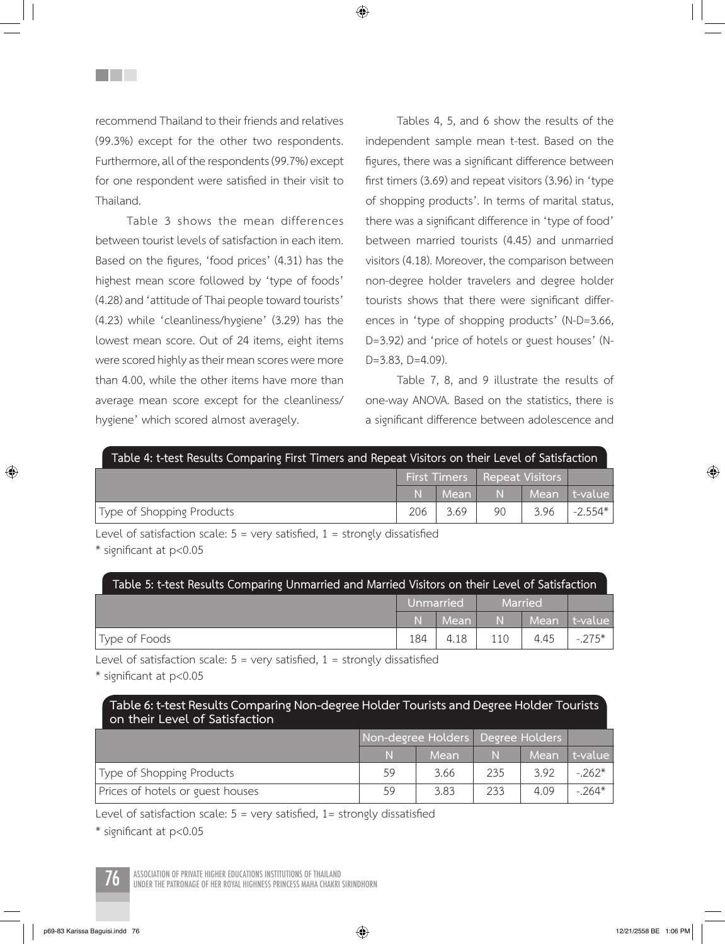recommend Thailand to their friends and relatives (99.3%) except for the other two respondents. Furthermore, all of the respondents (99.7%) except for one respondent were satisfied in their visit to Thailand.

**THE SEA** 

Table 3 shows the mean differences between tourist levels of satisfaction in each item. Based on the figures, 'food prices' (4.31) has the highest mean score followed by 'type of foods' (4.28) and 'attitude of Thai people toward tourists' (4.23) while 'cleanliness/hygiene' (3.29) has the lowest mean score. Out of 24 items, eight items were scored highly as their mean scores were more than 4.00, while the other items have more than average mean score except for the cleanliness/ hygiene' which scored almost averagely.

Tables 4, 5, and 6 show the results of the independent sample mean t-test. Based on the figures, there was a significant difference between first timers (3.69) and repeat visitors (3.96) in'type of shopping products'. In terms of marital status, there was a significant difference in 'type of food' between married tourists (4.45) and unmarried visitors (4.18). Moreover, the comparison between non-degree holder travelers and degree holder tourists shows that there were significant differences in 'type of shopping products' (N-D=3.66, D=3.92) and 'price of hotels or guest houses' (N-D=3.83, D=4.09).

Table 7, 8, and 9 illustrate the results of one-way ANOVA. Based on the statistics, there is a significant difference between adolescence and

| Table 4: t-test Results Comparing First Timers and Repeat Visitors on their Level of Satisfaction |                                       |      |    |                |           |  |  |  |
|---------------------------------------------------------------------------------------------------|---------------------------------------|------|----|----------------|-----------|--|--|--|
|                                                                                                   | <b>First Timers</b>   Repeat Visitors |      |    |                |           |  |  |  |
|                                                                                                   | N                                     | Mean |    | N Mean t-value |           |  |  |  |
| Type of Shopping Products                                                                         | 206                                   | 3.69 | 90 | 3.96           | $-2.554*$ |  |  |  |

Level of satisfaction scale:  $5 = \text{very satisfied}$ ,  $1 = \text{strongly dissatisfied}$  \* significant at  $p < 0.05$ 

| Table 5: t-test Results Comparing Unmarried and Married Visitors on their Level of Satisfaction |             |        |         |         |           |  |  |
|-------------------------------------------------------------------------------------------------|-------------|--------|---------|---------|-----------|--|--|
|                                                                                                 | Unmarried   |        | Married |         |           |  |  |
|                                                                                                 | $\mathbb N$ | / Mean | N       | / Mean/ | l t-value |  |  |
| Type of Foods                                                                                   | 184         | 4.18   | 110     | 4.45    | $-275*$   |  |  |

Level of satisfaction scale:  $5 = \text{very satisfied}$ ,  $1 = \text{strongly dissatisfied}$ <br>\* significant at  $p < 0.05$ 

#### **Table 6: t-test Results Comparing Non-degree Holder Tourists and Degree Holder Tourists on their Level of Satisfaction**

|                                  | Non-degree Holders Degree Holders |      |     |      |          |
|----------------------------------|-----------------------------------|------|-----|------|----------|
|                                  | N                                 | Mean | N   | Mean | t-value  |
| Type of Shopping Products        | 59                                | 3.66 | 235 | 3.92 | $-262*$  |
| Prices of hotels or guest houses | 59                                | 3.83 | 233 | 4.09 | $-.264*$ |

Level of satisfaction scale:  $5 = \text{very satisfied}$ ,  $1 = \text{strongly dissatisfied}$ 

\* significant at p<0.05

ASSOCIATION OF PRIVATE HIGHER EDUCATIONS INSTITUTIONS OF THAILAND<br>UNDER THE PATRONAGE OF HER ROYAL HIGHNESS PRINCESS MAHA CHAKRI SIRINDHORN

⊕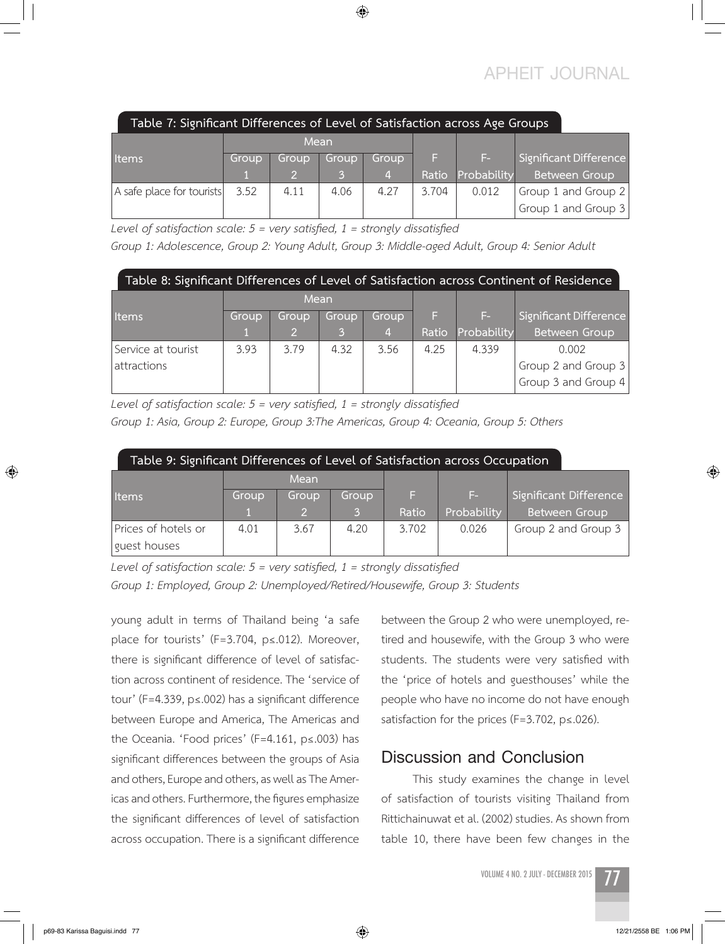### **APHEIT JOURNAL**

| Table 7: Significant Differences of Level of Satisfaction across Age Groups |       |       |       |       |       |             |                        |  |
|-----------------------------------------------------------------------------|-------|-------|-------|-------|-------|-------------|------------------------|--|
|                                                                             | Mean  |       |       |       |       |             |                        |  |
| <b>I</b> Items                                                              | Group | Group | Group | Group | F.    | Æ.,         | Significant Difference |  |
|                                                                             |       |       |       |       | Ratio | Probability | Between Group          |  |
| A safe place for tourists                                                   | 3.52  | 4.11  | 4.06  | 4.27  | 3.704 | 0.012       | Group 1 and Group 2    |  |
|                                                                             |       |       |       |       |       |             | Group 1 and Group $3$  |  |

◈

*Level of satisfaction scale: 5 = very satisfied, 1 = strongly dissatisfied* 

*Group 1: Adolescence, Group 2: Young Adult, Group 3: Middle-aged Adult, Group 4: Senior Adult*

| Table 8: Significant Differences of Level of Satisfaction across Continent of Residence |       |       |       |       |       |             |                        |  |  |
|-----------------------------------------------------------------------------------------|-------|-------|-------|-------|-------|-------------|------------------------|--|--|
|                                                                                         | Mean  |       |       |       |       |             |                        |  |  |
| <b>Items</b>                                                                            | Group | Group | Group | Group |       | F-          | Significant Difference |  |  |
|                                                                                         |       | 9     | 3     | 4,    | Ratio | Probability | <b>Between Group</b>   |  |  |
| Service at tourist                                                                      | 3.93  | 3.79  | 4.32  | 3.56  | 4.25  | 4.339       | 0.002                  |  |  |
| attractions                                                                             |       |       |       |       |       |             | Group 2 and Group 3    |  |  |
|                                                                                         |       |       |       |       |       |             | Group 3 and Group 4    |  |  |

*Level of satisfaction scale: 5 = very satisfied, 1 = strongly dissatisfied Group 1: Asia, Group 2: Europe, Group 3:The Americas, Group 4: Oceania, Group 5: Others*

| Table 9: Significant Differences of Level of Satisfaction across Occupation |       |               |       |       |             |                        |  |  |  |
|-----------------------------------------------------------------------------|-------|---------------|-------|-------|-------------|------------------------|--|--|--|
|                                                                             |       | Mean          |       |       |             |                        |  |  |  |
| Items                                                                       | Group | Group         | Group | F.    | E-          | Significant Difference |  |  |  |
|                                                                             |       | $\mathcal{D}$ | 3     | Ratio | Probability | <b>Between Group</b>   |  |  |  |
| Prices of hotels or                                                         | 4.01  | 3.67          | 4.20  | 3.702 | 0.026       | Group 2 and Group 3    |  |  |  |
| guest houses                                                                |       |               |       |       |             |                        |  |  |  |

*Level of satisfaction scale: 5 = very satisfied, 1 = strongly dissatisfied Group 1: Employed, Group 2: Unemployed/Retired/Housewife, Group 3: Students*

young adult in terms of Thailand being 'a safe place for tourists' (F=3.704, p≤.012). Moreover, there is significant difference of level of satisfaction across continent of residence. The 'service of tour' (F=4.339, p≤.002) has a significant difference between Europe and America, The Americas and the Oceania. 'Food prices' (F=4.161, p≤.003) has significant differences between the groups of Asia and others, Europe and others, as well as The Americas and others. Furthermore, the figures emphasize the significant differences of level of satisfaction across occupation. There is a significant difference between the Group 2 who were unemployed, retired and housewife, with the Group 3 who were students. The students were very satisfied with the 'price of hotels and guesthouses' while the people who have no income do not have enough satisfaction for the prices (F=3.702, p≤.026).

### **Discussion and Conclusion**

This study examines the change in level of satisfaction of tourists visiting Thailand from Rittichainuwat et al. (2002) studies. As shown from table 10, there have been few changes in the

VOLUME 4 NO. 2 JULY - DECEMBER 2015



 $\bigcirc$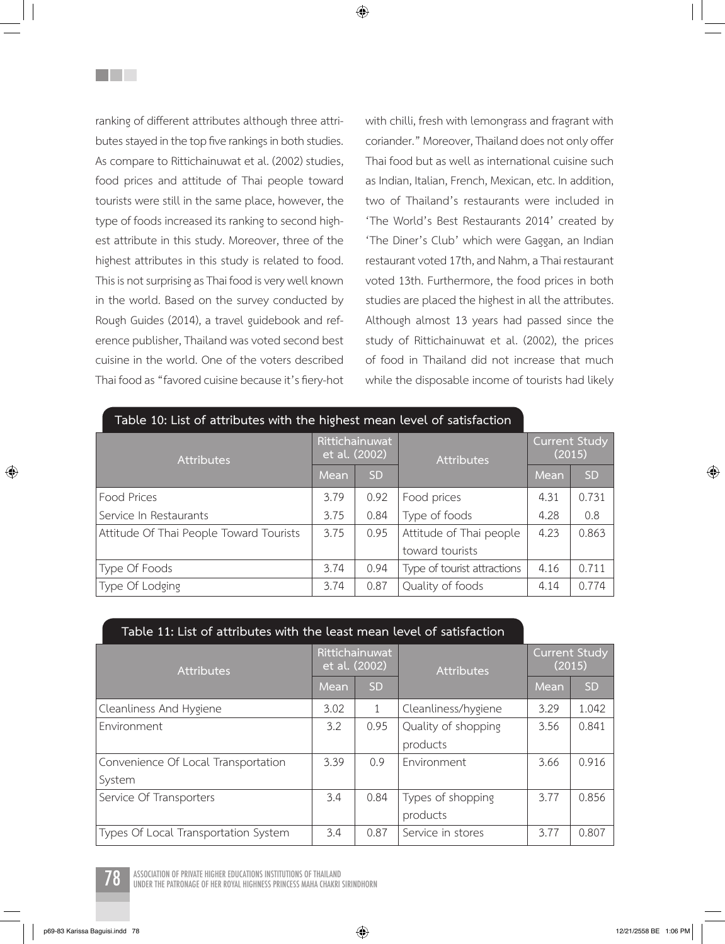ranking of different attributes although three attributes stayed in the top five rankings in both studies. As compare to Rittichainuwat et al. (2002) studies, food prices and attitude of Thai people toward tourists were still in the same place, however, the type of foods increased its ranking to second highest attribute in this study. Moreover, three of the highest attributes in this study is related to food. This is not surprising as Thai food is very well known in the world. Based on the survey conducted by Rough Guides (2014), a travel guidebook and reference publisher, Thailand was voted second best cuisine in the world. One of the voters described Thai food as "favored cuisine because it's fiery-hot

<u>Filmen</u>

with chilli, fresh with lemongrass and fragrant with coriander." Moreover, Thailand does not only offer Thai food but as well as international cuisine such as Indian, Italian, French, Mexican, etc. In addition, two of Thailand's restaurants were included in 'The World's Best Restaurants 2014' created by 'The Diner's Club' which were Gaggan, an Indian restaurant voted 17th, and Nahm, a Thai restaurant voted 13th. Furthermore, the food prices in both studies are placed the highest in all the attributes. Although almost 13 years had passed since the study of Rittichainuwat et al. (2002), the prices of food in Thailand did not increase that much while the disposable income of tourists had likely

| Table 10: List of attributes with the highest mean level of satisfaction |                                 |           |                             |                                |           |
|--------------------------------------------------------------------------|---------------------------------|-----------|-----------------------------|--------------------------------|-----------|
| <b>Attributes</b>                                                        | Rittichainuwat<br>et al. (2002) |           | <b>Attributes</b>           | <b>Current Study</b><br>(2015) |           |
|                                                                          | Mean                            | <b>SD</b> |                             | Mean                           | <b>SD</b> |
| Food Prices                                                              | 3.79                            | 0.92      | Food prices                 | 4.31                           | 0.731     |
| Service In Restaurants                                                   | 3.75                            | 0.84      | Type of foods               | 4.28                           | 0.8       |
| Attitude Of Thai People Toward Tourists                                  | 3.75                            | 0.95      | Attitude of Thai people     | 4.23                           | 0.863     |
|                                                                          |                                 |           | toward tourists             |                                |           |
| Type Of Foods                                                            | 3.74                            | 0.94      | Type of tourist attractions | 4.16                           | 0.711     |
| Type Of Lodging                                                          | 3.74                            | 0.87      | Quality of foods            | 4.14                           | 0.774     |

#### **Table 11: List of attributes with the least mean level of satisfaction**

| <b>Attributes</b>                    | Rittichainuwat<br>et al. (2002) |           | <b>Attributes</b>   | <b>Current Study</b><br>(2015) |           |
|--------------------------------------|---------------------------------|-----------|---------------------|--------------------------------|-----------|
|                                      | Mean                            | <b>SD</b> |                     | Mean                           | <b>SD</b> |
| Cleanliness And Hygiene              | 3.02                            |           | Cleanliness/hygiene | 3.29                           | 1.042     |
| Environment                          | 3.2                             | 0.95      | Quality of shopping | 3.56                           | 0.841     |
|                                      |                                 |           | products            |                                |           |
| Convenience Of Local Transportation  | 3.39                            | 0.9       | Environment         | 3.66                           | 0.916     |
| System                               |                                 |           |                     |                                |           |
| Service Of Transporters              | 3.4                             | 0.84      | Types of shopping   | 3.77                           | 0.856     |
|                                      |                                 |           | products            |                                |           |
| Types Of Local Transportation System | 3.4                             | 0.87      | Service in stores   | 3.77                           | 0.807     |

ASSOCIATION OF PRIVATE HIGHER EDUCATIONS INSTITUTIONS OF THAILAND<br>UNDER THE PATRONAGE OF HER ROYAL HIGHNESS PRINCESS MAHA CHAKRI SIRINDHORN

p69-83 Karissa Baguisi.indd 78 12/21/2558 BE 1:06 PM

⊕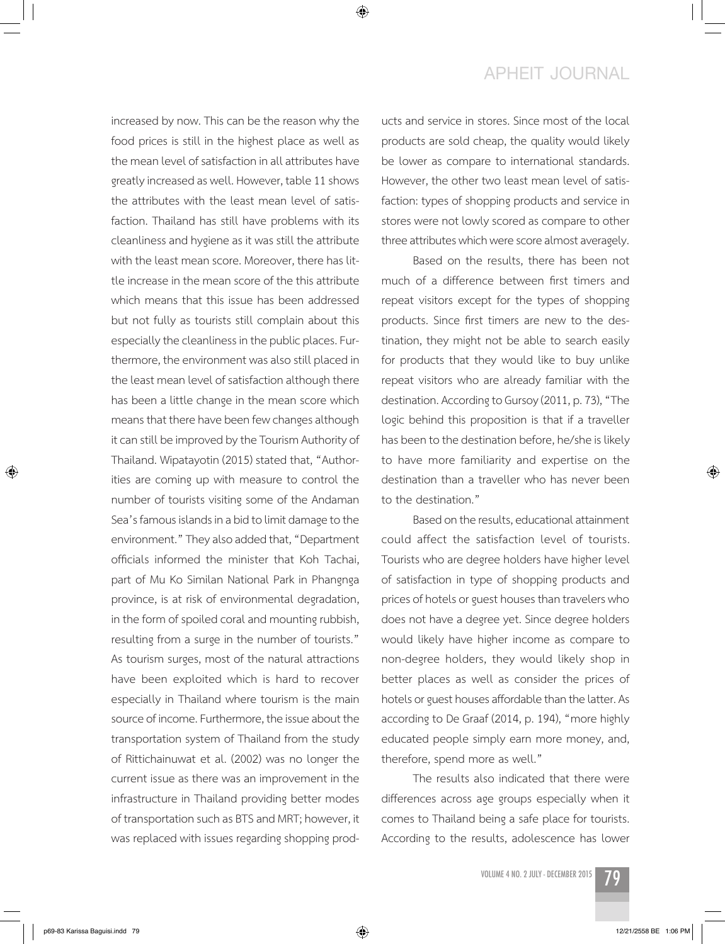### **APHEIT JOURNAL**

increased by now. This can be the reason why the food prices is still in the highest place as well as the mean level of satisfaction in all attributes have greatly increased as well. However, table 11 shows the attributes with the least mean level of satisfaction. Thailand has still have problems with its cleanliness and hygiene as it was still the attribute with the least mean score. Moreover, there has little increase in the mean score of the this attribute which means that this issue has been addressed but not fully as tourists still complain about this especially the cleanliness in the public places. Furthermore, the environment was also still placed in the least mean level of satisfaction although there has been a little change in the mean score which means that there have been few changes although it can still be improved by the Tourism Authority of Thailand. Wipatayotin (2015) stated that, "Authorities are coming up with measure to control the number of tourists visiting some of the Andaman Sea's famous islands in a bid to limit damage to the environment." They also added that, "Department officials informed the minister that Koh Tachai, part of Mu Ko Similan National Park in Phangnga province, is at risk of environmental degradation, in the form of spoiled coral and mounting rubbish, resulting from a surge in the number of tourists." As tourism surges, most of the natural attractions have been exploited which is hard to recover especially in Thailand where tourism is the main source of income. Furthermore, the issue about the transportation system of Thailand from the study of Rittichainuwat et al. (2002) was no longer the current issue as there was an improvement in the infrastructure in Thailand providing better modes of transportation such as BTS and MRT; however, it was replaced with issues regarding shopping products and service in stores. Since most of the local products are sold cheap, the quality would likely be lower as compare to international standards. However, the other two least mean level of satisfaction: types of shopping products and service in stores were not lowly scored as compare to other three attributes which were score almost averagely.

Based on the results, there has been not much of a difference between first timers and repeat visitors except for the types of shopping products. Since first timers are new to the destination, they might not be able to search easily for products that they would like to buy unlike repeat visitors who are already familiar with the destination. According to Gursoy (2011, p. 73), "The logic behind this proposition is that if a traveller has been to the destination before, he/she is likely to have more familiarity and expertise on the destination than a traveller who has never been to the destination."

Based on the results, educational attainment could affect the satisfaction level of tourists. Tourists who are degree holders have higher level of satisfaction in type of shopping products and prices of hotels or guest houses than travelers who does not have a degree yet. Since degree holders would likely have higher income as compare to non-degree holders, they would likely shop in better places as well as consider the prices of hotels or guest houses affordable than the latter. As according to De Graaf (2014, p. 194), "more highly educated people simply earn more money, and, therefore, spend more as well."

The results also indicated that there were differences across age groups especially when it comes to Thailand being a safe place for tourists. According to the results, adolescence has lower

**VOLUME 4 NO. 2 JULY - DECEMBER 2015** 79



↔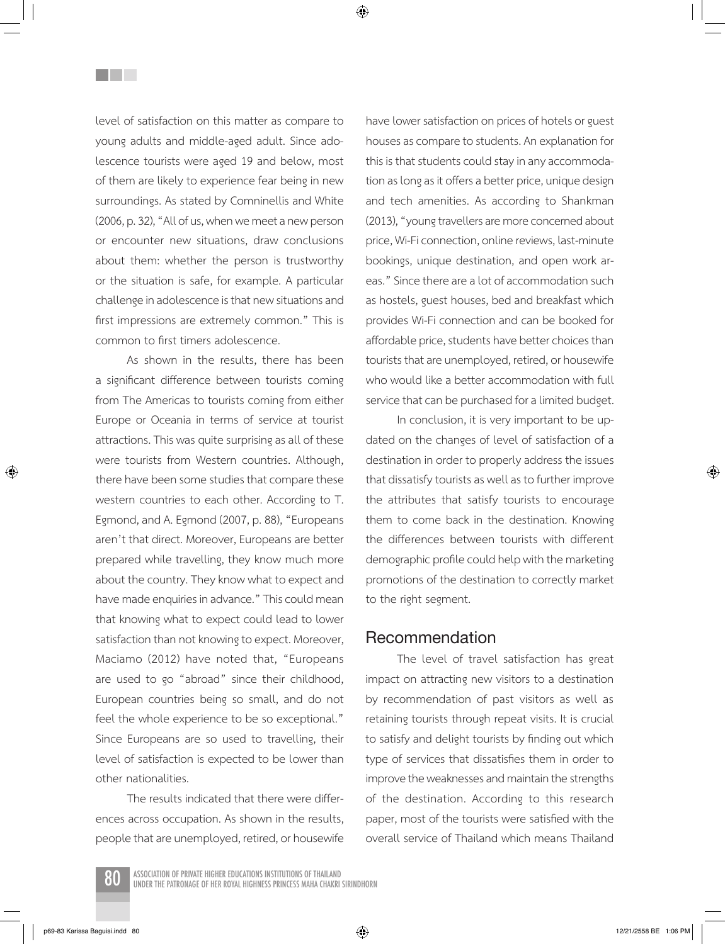level of satisfaction on this matter as compare to young adults and middle-aged adult. Since adolescence tourists were aged 19 and below, most of them are likely to experience fear being in new surroundings. As stated by Comninellis and White (2006, p. 32), "All of us, when we meet a new person or encounter new situations, draw conclusions about them: whether the person is trustworthy or the situation is safe, for example. A particular challenge in adolescence is that new situations and first impressions are extremely common." This is common to first timers adolescence.

<u>Filmen</u>

As shown in the results, there has been a significant difference between tourists coming from The Americas to tourists coming from either Europe or Oceania in terms of service at tourist attractions. This was quite surprising as all of these were tourists from Western countries. Although, there have been some studies that compare these western countries to each other. According to T. Egmond, and A. Egmond (2007, p. 88), "Europeans aren't that direct. Moreover, Europeans are better prepared while travelling, they know much more about the country. They know what to expect and have made enquiries in advance." This could mean that knowing what to expect could lead to lower satisfaction than not knowing to expect. Moreover, Maciamo (2012) have noted that, "Europeans are used to go "abroad" since their childhood, European countries being so small, and do not feel the whole experience to be so exceptional." Since Europeans are so used to travelling, their level of satisfaction is expected to be lower than other nationalities.

The results indicated that there were differences across occupation. As shown in the results, people that are unemployed, retired, or housewife have lower satisfaction on prices of hotels or guest houses as compare to students. An explanation for this is that students could stay in any accommodation as long as it offers a better price, unique design and tech amenities. As according to Shankman (2013), "young travellers are more concerned about price, Wi-Fi connection, online reviews, last-minute bookings, unique destination, and open work areas." Since there are a lot of accommodation such as hostels, guest houses, bed and breakfast which provides Wi-Fi connection and can be booked for affordable price, students have better choices than tourists that are unemployed, retired, or housewife who would like a better accommodation with full service that can be purchased for a limited budget.

In conclusion, it is very important to be updated on the changes of level of satisfaction of a destination in order to properly address the issues that dissatisfy tourists as well as to further improve the attributes that satisfy tourists to encourage them to come back in the destination. Knowing the differences between tourists with different demographic profile could help with the marketing promotions of the destination to correctly market to the right segment.

### **Recommendation**

The level of travel satisfaction has great impact on attracting new visitors to a destination by recommendation of past visitors as well as retaining tourists through repeat visits. It is crucial to satisfy and delight tourists by finding out which type of services that dissatisfies them in order to improve the weaknesses and maintain the strengths of the destination. According to this research paper, most of the tourists were satisfied with the overall service of Thailand which means Thailand

Association of Private Higher Educations Institutions of Thailand 80 under The Patronage of Her Royal Highness Princess Maha Chakri Sirindhorn

⊕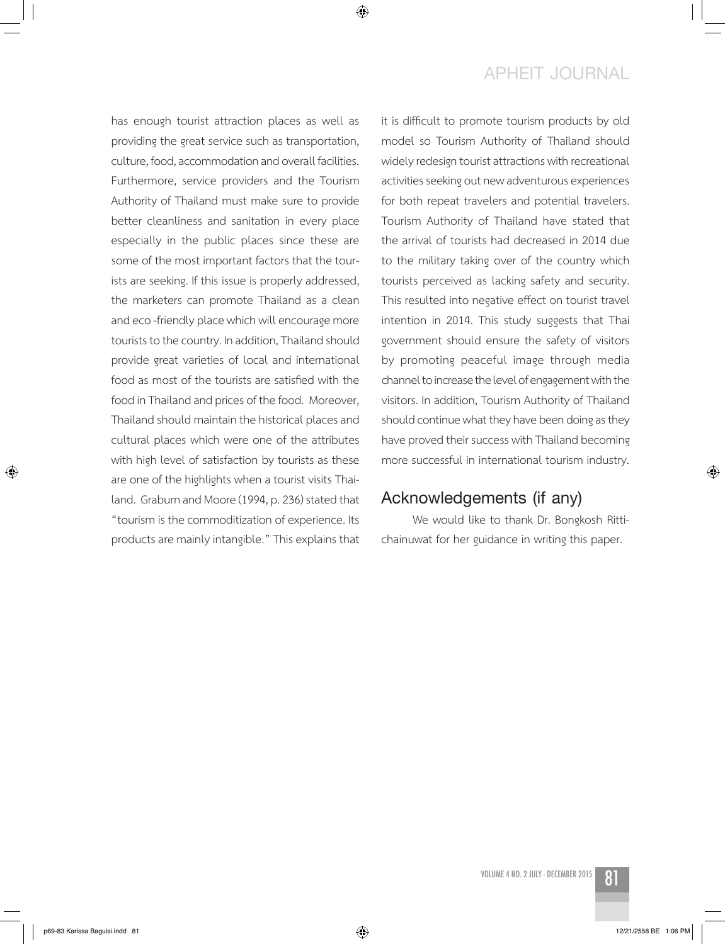### **APHEIT JOURNAL**

has enough tourist attraction places as well as providing the great service such as transportation, culture, food, accommodation and overall facilities. Furthermore, service providers and the Tourism Authority of Thailand must make sure to provide better cleanliness and sanitation in every place especially in the public places since these are some of the most important factors that the tourists are seeking. If this issue is properly addressed, the marketers can promote Thailand as a clean and eco -friendly place which will encourage more tourists to the country. In addition, Thailand should provide great varieties of local and international food as most of the tourists are satisfied with the food in Thailand and prices of the food. Moreover, Thailand should maintain the historical places and cultural places which were one of the attributes with high level of satisfaction by tourists as these are one of the highlights when a tourist visits Thailand. Graburn and Moore (1994, p. 236) stated that "tourism is the commoditization of experience. Its products are mainly intangible." This explains that it is difficult to promote tourism products by old model so Tourism Authority of Thailand should widely redesign tourist attractions with recreational activities seeking out new adventurous experiences for both repeat travelers and potential travelers. Tourism Authority of Thailand have stated that the arrival of tourists had decreased in 2014 due to the military taking over of the country which tourists perceived as lacking safety and security. This resulted into negative effect on tourist travel intention in 2014. This study suggests that Thai government should ensure the safety of visitors by promoting peaceful image through media channel to increase the level of engagement with the visitors. In addition, Tourism Authority of Thailand should continue what they have been doing as they have proved their success with Thailand becoming more successful in international tourism industry.

### **Acknowledgements (if any)**

We would like to thank Dr. Bongkosh Rittichainuwat for her guidance in writing this paper.

 $\bigcirc$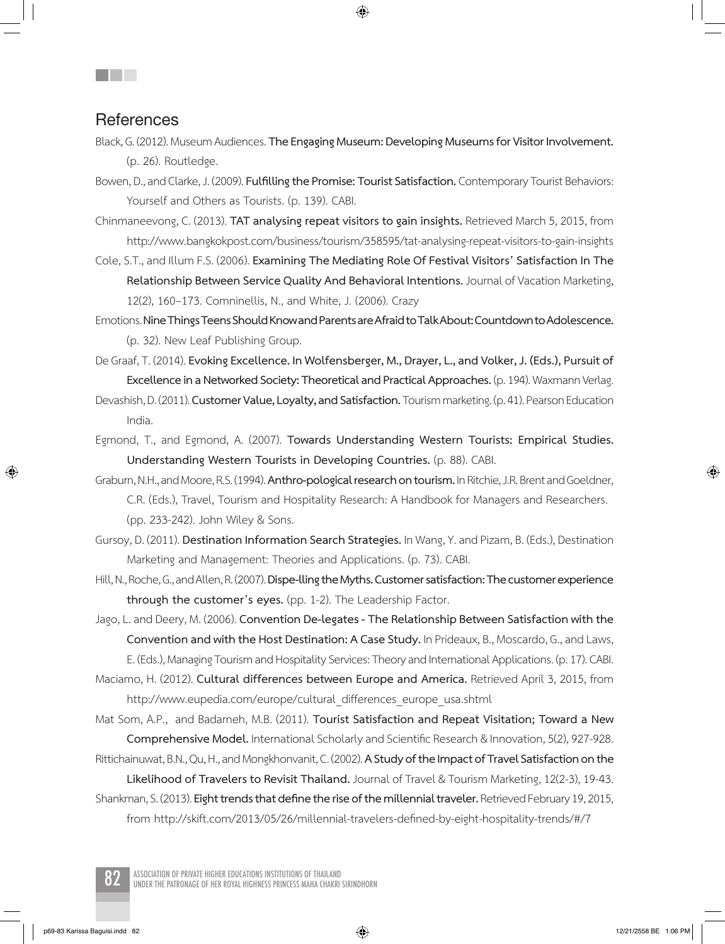### **References**

- Black, G. (2012). Museum Audiences. The Engaging Museum: Developing Museums for Visitor Involvement. (p. 26). Routledge.
- Bowen, D., and Clarke, J. (2009). **Fulfilling the Promise: Tourist Satisfaction.** Contemporary Tourist Behaviors: Yourself and Others as Tourists. (p. 139). CABI.
- Chinmaneevong, C. (2013). **TAT analysing repeat visitors to gain insights.** Retrieved March 5, 2015, from http://www.bangkokpost.com/business/tourism/358595/tat-analysing-repeat-visitors-to-gain-insights
- Cole,S.T.,and Illum F.S. (2006).**Examining The Mediating Role Of Festival Visitors' Satisfaction In The**  Relationship Between Service Quality And Behavioral Intentions. Journal of Vacation Marketing, 12(2), 160–173. Comninellis, N., and White, J. (2006). Crazy
- Emotions. **Nine Things Teens Should Know and Parents are Afraid to Talk About: Countdown to Adolescence.**  (p. 32). New Leaf Publishing Group.
- De Graaf,T. (2014).**Evoking Excellence. In Wolfensberger, M., Drayer, L., and Volker, J. (Eds.), Pursuit of**  Excellence in a Networked Society: Theoretical and Practical Approaches. (p. 194). Waxmann Verlag.
- Devashish,D. (2011).**Customer Value, Loyalty, and Satisfaction.** Tourism marketing. (p. 41). Pearson Education India.
- Egmond, T., and Egmond, A. (2007). **Towards Understanding Western Tourists: Empirical Studies. Understanding Western Tourists in Developing Countries.** (p. 88). CABI.
- Graburn,N.H.,andMoore,R.S. (1994).**Anthro-pological research on tourism.** In Ritchie, J.R. Brent and Goeldner, C.R. (Eds.), Travel, Tourism and Hospitality Research: A Handbook for Managers and Researchers. (pp. 233-242). John Wiley & Sons.
- Gursoy, D. (2011). **Destination Information Search Strategies.** In Wang,Y.and Pizam,B. (Eds.), Destination Marketing and Management: Theories and Applications. (p. 73). CABI.
- Hill,N.,Roche,G.,andAllen,R.(2007).**Dispe-lling the Myths. Customer satisfaction: The customer experience through the customer's eyes.** (pp. 1-2). The Leadership Factor.
- Jago,L.and Deery, M. (2006). **Convention De-legates The Relationship Between Satisfaction with the Convention and with the Host Destination: A Case Study.** In Prideaux, B., Moscardo, G., and Laws, E. (Eds.), Managing Tourism and Hospitality Services: Theory and International Applications. (p. 17). CABI. Maciamo, H. (2012). **Cultural differences between Europe and America.** Retrieved April 3, 2015, from
- http://www.eupedia.com/europe/cultural\_differences\_europe\_usa.shtml
- Mat Som, A.P., and Badarneh, M.B. (2011). **Tourist Satisfaction and Repeat Visitation; Toward a New Comprehensive Model.** International Scholarly and Scientific Research & Innovation, 5(2), 927-928.
- Rittichainuwat,B.N.,Qu,H.,andMongkhonvanit, C. (2002).**A Study of the Impact of Travel Satisfaction on the Likelihood of Travelers to Revisit Thailand.** JournalofTravel & Tourism Marketing,12(2-3),19-43.
- Shankman,S. (2013).**Eight trends that define the rise of the millennial traveler.** Retrieved February19,2015, from http://skift.com/2013/05/26/millennial-travelers-defined-by-eight-hospitality-trends/#/7

ASSOCIATION OF PRIVATE HIGHER EDUCATIONS INSTITUTIONS OF THAILAND<br>UNDER THE PATRONAGE OF HER ROYAL HIGHNESS PRINCESS MAHA CHAKRI SIRINDHORN

⊕